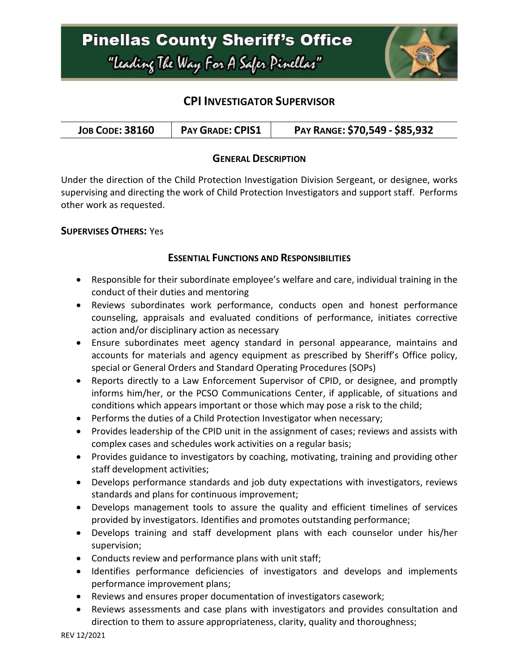

### **CPI INVESTIGATOR SUPERVISOR**

| PAY RANGE: \$70,549 - \$85,932<br><b>PAY GRADE: CPIS1</b><br><b>JOB CODE: 38160</b> |  |  |
|-------------------------------------------------------------------------------------|--|--|
|-------------------------------------------------------------------------------------|--|--|

### **GENERAL DESCRIPTION**

Under the direction of the Child Protection Investigation Division Sergeant, or designee, works supervising and directing the work of Child Protection Investigators and support staff. Performs other work as requested.

### **SUPERVISES OTHERS:** Yes

### **ESSENTIAL FUNCTIONS AND RESPONSIBILITIES**

- Responsible for their subordinate employee's welfare and care, individual training in the conduct of their duties and mentoring
- Reviews subordinates work performance, conducts open and honest performance counseling, appraisals and evaluated conditions of performance, initiates corrective action and/or disciplinary action as necessary
- Ensure subordinates meet agency standard in personal appearance, maintains and accounts for materials and agency equipment as prescribed by Sheriff's Office policy, special or General Orders and Standard Operating Procedures (SOPs)
- Reports directly to a Law Enforcement Supervisor of CPID, or designee, and promptly informs him/her, or the PCSO Communications Center, if applicable, of situations and conditions which appears important or those which may pose a risk to the child;
- Performs the duties of a Child Protection Investigator when necessary;
- Provides leadership of the CPID unit in the assignment of cases; reviews and assists with complex cases and schedules work activities on a regular basis;
- Provides guidance to investigators by coaching, motivating, training and providing other staff development activities;
- Develops performance standards and job duty expectations with investigators, reviews standards and plans for continuous improvement;
- Develops management tools to assure the quality and efficient timelines of services provided by investigators. Identifies and promotes outstanding performance;
- Develops training and staff development plans with each counselor under his/her supervision;
- Conducts review and performance plans with unit staff;
- Identifies performance deficiencies of investigators and develops and implements performance improvement plans;
- Reviews and ensures proper documentation of investigators casework;
- Reviews assessments and case plans with investigators and provides consultation and direction to them to assure appropriateness, clarity, quality and thoroughness;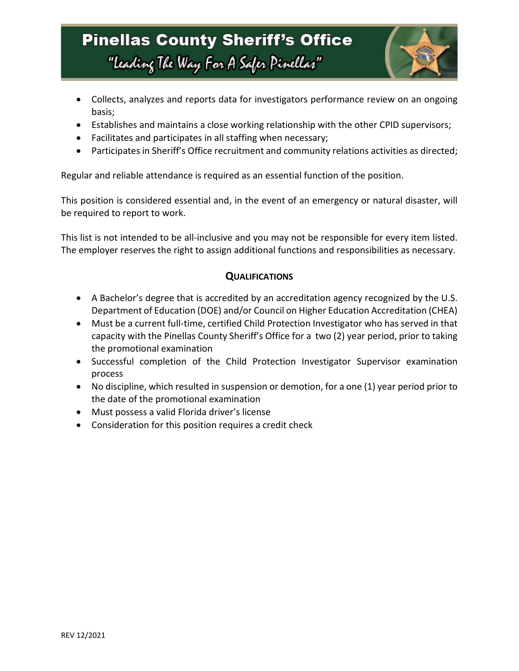## **Pinellas County Sheriff's Office** "Leading The Way For A Safer Pinellar"



- Collects, analyzes and reports data for investigators performance review on an ongoing basis;
- Establishes and maintains a close working relationship with the other CPID supervisors;
- Facilitates and participates in all staffing when necessary;
- Participates in Sheriff's Office recruitment and community relations activities as directed;

Regular and reliable attendance is required as an essential function of the position.

This position is considered essential and, in the event of an emergency or natural disaster, will be required to report to work.

This list is not intended to be all-inclusive and you may not be responsible for every item listed. The employer reserves the right to assign additional functions and responsibilities as necessary.

### **QUALIFICATIONS**

- A Bachelor's degree that is accredited by an accreditation agency recognized by the U.S. Department of Education (DOE) and/or Council on Higher Education Accreditation (CHEA)
- Must be a current full-time, certified Child Protection Investigator who has served in that capacity with the Pinellas County Sheriff's Office for a two (2) year period, prior to taking the promotional examination
- Successful completion of the Child Protection Investigator Supervisor examination process
- No discipline, which resulted in suspension or demotion, for a one (1) year period prior to the date of the promotional examination
- Must possess a valid Florida driver's license
- Consideration for this position requires a credit check